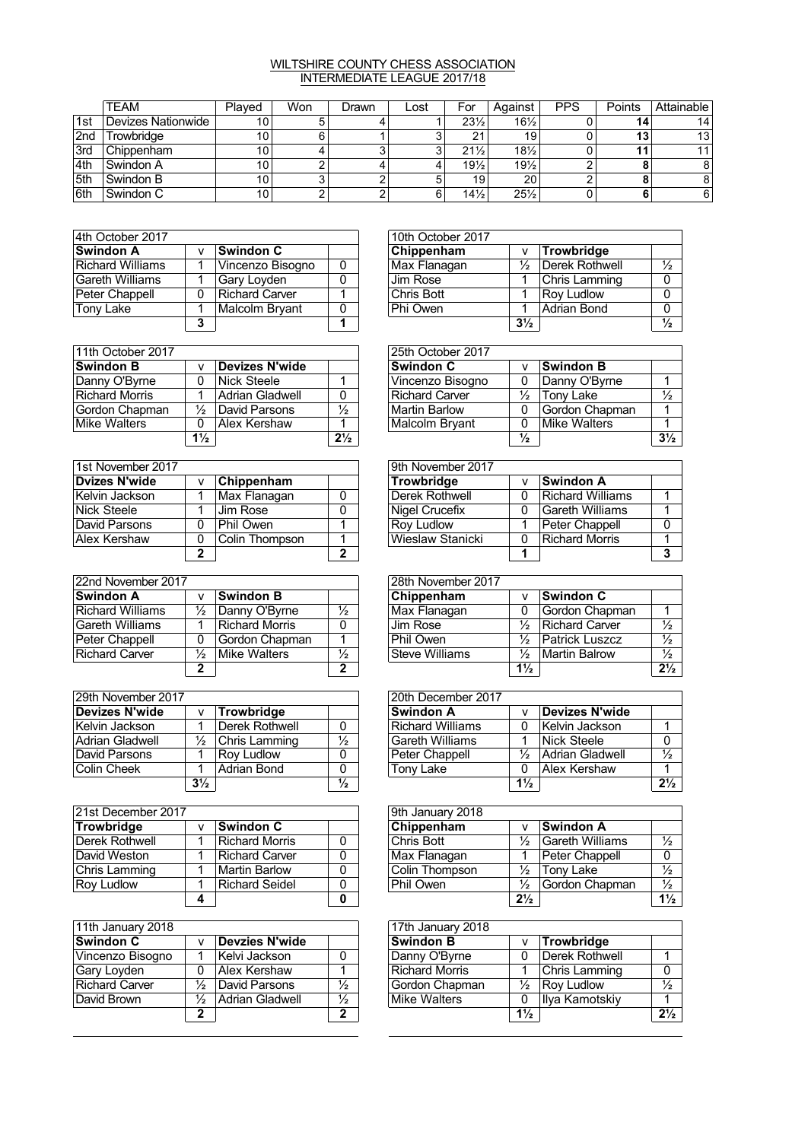## WILTSHIRE COUNTY CHESS ASSOCIATION INTERMEDIATE LEAGUE 2017/18

|                  | TEAM               | Plaved          | Won | Drawn | Lost | For             | Against         | <b>PPS</b> | Points | Attainable |
|------------------|--------------------|-----------------|-----|-------|------|-----------------|-----------------|------------|--------|------------|
| 1st              | Devizes Nationwide | 10              |     |       |      | $23\frac{1}{2}$ | $16\frac{1}{2}$ |            | 14     | 14         |
| 2nd              | Trowbridae         | 10 <sup>°</sup> |     |       |      | ດ 4             | 19              |            | 13     | 13         |
| <sup>1</sup> 3rd | <b>Chippenham</b>  | 10              |     |       |      | $21\frac{1}{2}$ | $18\frac{1}{2}$ |            | 44     | 11         |
| 4th              | <b>Swindon A</b>   | 10              |     |       |      | $19\frac{1}{2}$ | $19\frac{1}{2}$ |            |        | 8          |
| 5th              | Swindon B          | 10 <sub>1</sub> |     |       |      | 19              | 20              | ◠          |        | 8          |
| l 6th            | Swindon C          | 10              |     |       |      | $14\frac{1}{2}$ | $25\frac{1}{2}$ |            |        | 6          |

| 4th October 2017 |              |                  |   | 10th October 2017 |               |                    |
|------------------|--------------|------------------|---|-------------------|---------------|--------------------|
| <b>Swindon A</b> | $\mathsf{V}$ | <b>Swindon C</b> |   | Chippenham        |               | Trowbridge         |
| Richard Williams |              | Vincenzo Bisogno | 0 | Max Flanagan      | $\frac{1}{2}$ | Derek Rothw        |
| Gareth Williams  |              | Gary Loyden      | 0 | Jim Rose          |               | Chris Lammi        |
| Peter Chappell   | 0            | Richard Carver   |   | Chris Bott        |               | <b>Rov Ludlow</b>  |
| <b>Tony Lake</b> |              | Malcolm Brvant   | 0 | Phi Owen          |               | <b>Adrian Bond</b> |
|                  | っ            |                  |   |                   | $3\%$         |                    |

| 4th October 2017 |   |                  |   | 10th October 2017 |                |                   |               |
|------------------|---|------------------|---|-------------------|----------------|-------------------|---------------|
| Swindon A        |   | ∣Swindon C       |   | Chippenham        |                | Trowbridge        |               |
| Richard Williams |   | Vincenzo Bisogno | 0 | Max Flanagan      |                | Derek Rothwell    | $\frac{1}{2}$ |
| Gareth Williams  |   | Gary Loyden      | 0 | Jim Rose          |                | Chris Lamming     | 0             |
| Peter Chappell   | 0 | Richard Carver   |   | Chris Bott        |                | <b>Rov Ludlow</b> | 0             |
| Tonv Lake        |   | Malcolm Brvant   | 0 | Phi Owen          |                | Adrian Bond       | 0             |
|                  | っ |                  |   |                   | $3\frac{1}{2}$ |                   | $\frac{1}{2}$ |

| 11th October 2017     |                |                 |                | 25th October 2017     |               |                  |
|-----------------------|----------------|-----------------|----------------|-----------------------|---------------|------------------|
| <b>Swindon B</b>      |                | Devizes N'wide  |                | <b>Swindon C</b>      |               | <b>Swindon B</b> |
| Danny O'Byrne         | 0              | Nick Steele     |                | Vincenzo Bisogno      |               | ∣Danny O'By      |
| <b>Richard Morris</b> |                | Adrian Gladwell | 0              | <b>Richard Carver</b> | ⅓             | Tony Lake        |
| Gordon Chapman        | ⅓              | David Parsons   | $\frac{1}{2}$  | <b>Martin Barlow</b>  |               | Gordon Cha       |
| Mike Walters          |                | Alex Kershaw    |                | Malcolm Bryant        |               | ∣Mike Walteı     |
|                       | $1\frac{1}{2}$ |                 | $2\frac{1}{2}$ |                       | $\frac{1}{2}$ |                  |

| 1st November 2017    |   |                |   | 9th November 2017     |   |                |
|----------------------|---|----------------|---|-----------------------|---|----------------|
| <b>Dvizes N'wide</b> | v | Chippenham     |   | Trowbridge            |   | ∣Swindon A     |
| Kelvin Jackson       |   | Max Flanagan   | 0 | <b>Derek Rothwell</b> | 0 | Richard Will   |
| Nick Steele          |   | Jim Rose       | 0 | Nigel Crucefix        | 0 | l Gareth Willi |
| David Parsons        | 0 | Phil Owen      |   | <b>Roy Ludlow</b>     |   | Peter Chapp    |
| Alex Kershaw         | 0 | Colin Thompson |   | Wieslaw Stanicki      | 0 | Richard Mor    |
|                      | , |                | 2 |                       |   |                |

| 22nd November 2017    |   |                       |               | 28th November 2017    |                |                    |
|-----------------------|---|-----------------------|---------------|-----------------------|----------------|--------------------|
| <b>Swindon A</b>      |   | Swindon B             |               | Chippenham            |                | ∣Swindon C         |
| Richard Williams      | ⅓ | Danny O'Byrne         | $\frac{1}{2}$ | Max Flanagan          |                | l Gordon Cha       |
| Gareth Williams       |   | <b>Richard Morris</b> | 0             | Jim Rose              |                | Richard Car        |
| Peter Chappell        | 0 | Gordon Chapman        |               | Phil Owen             | $\frac{1}{2}$  | <b>Patrick Lus</b> |
| <b>Richard Carver</b> | ⅓ | Mike Walters          | $\frac{1}{2}$ | <b>Steve Williams</b> | $\frac{1}{2}$  | Martin Balro       |
|                       |   |                       | ◠             |                       | $1\frac{1}{2}$ |                    |

| 29th November 2017 |                |                   |               | 20th December 2017 |                |                 |
|--------------------|----------------|-------------------|---------------|--------------------|----------------|-----------------|
| Devizes N'wide     | v              | <b>Trowbridge</b> |               | ∣Swindon A         |                | Devizes N'wide  |
| Kelvin Jackson     |                | Derek Rothwell    | 0             | Richard Williams   | 0              | Kelvin Jackson  |
| Adrian Gladwell    | ⅓              | Chris Lamming     | $\frac{1}{2}$ | Gareth Williams    |                | Nick Steele     |
| David Parsons      |                | <b>Rov Ludlow</b> | 0             | Peter Chappell     | ⅓              | Adrian Gladwell |
| Colin Cheek        |                | Adrian Bond       | 0             | Tony Lake          |                | Alex Kershaw    |
|                    | $3\frac{1}{2}$ |                   | $\frac{1}{2}$ |                    | $1\frac{1}{2}$ |                 |

| 21st December 2017    |              |                  |   | 9th January 2018  |                |               |
|-----------------------|--------------|------------------|---|-------------------|----------------|---------------|
| Trowbridge            | $\mathsf{V}$ | <b>Swindon C</b> |   | Chippenham        |                | ∣Swindon A    |
| <b>Derek Rothwell</b> |              | Richard Morris   | 0 | <b>Chris Bott</b> | ⅓              | ∣Gareth Willi |
| David Weston          |              | Richard Carver   | 0 | Max Flanagan      |                | Peter Chapp   |
| Chris Lamming         |              | Martin Barlow    | 0 | Colin Thompson    | $\frac{1}{2}$  | Tony Lake     |
| <b>Roy Ludlow</b>     |              | Richard Seidel   | 0 | Phil Owen         | ⅓              | Gordon Cha    |
|                       |              |                  | O |                   | $2\frac{1}{2}$ |               |

| 11th January 2018     |   |                       |               | 17th January 2018     |                |               |
|-----------------------|---|-----------------------|---------------|-----------------------|----------------|---------------|
| <b>Swindon C</b>      | v | <b>Devzies N'wide</b> |               | <b>Swindon B</b>      |                | Trowbridge    |
| Vincenzo Bisogno      |   | Kelvi Jackson         | 0             | Danny O'Byrne         | 0              | Derek Rothw   |
| Gary Loyden           | 0 | Alex Kershaw          |               | <b>Richard Morris</b> |                | ∣Chris Lammi  |
| <b>Richard Carver</b> | ⅓ | David Parsons         | $\frac{1}{2}$ | Gordon Chapman        | ⅓              | Rov Ludlow    |
| David Brown           | ⅓ | Adrian Gladwell       | $\frac{1}{2}$ | Mike Walters          | 0              | ∣Ilya Kamotsl |
|                       | 2 |                       | 2             |                       | $1\frac{1}{2}$ |               |

| 11th October 2017 |                |                 |                | 25th October 2017 |               |                  |                |
|-------------------|----------------|-----------------|----------------|-------------------|---------------|------------------|----------------|
| Swindon B         | v              | Devizes N'wide  |                | <b>Swindon C</b>  | v             | <b>Swindon B</b> |                |
| Danny O'Byrne     | 0              | Nick Steele     |                | Vincenzo Bisogno  |               | Danny O'Byrne    |                |
| Richard Morris    |                | Adrian Gladwell | $\Omega$       | Richard Carver    | $\frac{1}{2}$ | Tony Lake        |                |
| Gordon Chapman    | ⅓              | David Parsons   | $\frac{1}{2}$  | Martin Barlow     | 0             | Gordon Chapman   |                |
| Mike Walters      | 0              | Alex Kershaw    |                | Malcolm Brvant    | 0             | Mike Walters     |                |
|                   | $1\frac{1}{2}$ |                 | $2\frac{1}{2}$ |                   | $\frac{1}{2}$ |                  | $3\frac{1}{2}$ |

| 1st November 2017 |   |                |   | 9th November 2017 |          |                  |  |  |  |  |
|-------------------|---|----------------|---|-------------------|----------|------------------|--|--|--|--|
| Dvizes N'wide     | v | Chippenham     |   | <b>Trowbridge</b> |          | <b>Swindon A</b> |  |  |  |  |
| Kelvin Jackson    |   | Max Flanagan   |   | Derek Rothwell    | 0        | Richard Williams |  |  |  |  |
| Nick Steele       |   | Jim Rose       |   | Nigel Crucefix    | 0        | ∣Gareth Williams |  |  |  |  |
| David Parsons     | 0 | Phil Owen      |   | <b>Rov Ludlow</b> |          | Peter Chappell   |  |  |  |  |
| Alex Kershaw      | 0 | Colin Thompson |   | Wieslaw Stanicki  | $\Omega$ | Richard Morris   |  |  |  |  |
|                   | າ |                | ∍ |                   |          |                  |  |  |  |  |

| 22nd November 2017 |   |                  |               | 28th November 2017    |                |                       |                |  |  |  |  |
|--------------------|---|------------------|---------------|-----------------------|----------------|-----------------------|----------------|--|--|--|--|
| Swindon A          |   | <b>Swindon B</b> |               | Chippenham            | v              | <b>Swindon C</b>      |                |  |  |  |  |
| Richard Williams   | ⅓ | Danny O'Byrne    | $\frac{1}{2}$ | Max Flanagan          |                | Gordon Chapman        |                |  |  |  |  |
| Gareth Williams    |   | Richard Morris   |               | Jim Rose              | ⅓              | Richard Carver        |                |  |  |  |  |
| Peter Chappell     | 0 | Gordon Chapman   |               | Phil Owen             | $\frac{1}{2}$  | <b>Patrick Luszcz</b> |                |  |  |  |  |
| Richard Carver     | ⅓ | Mike Walters     |               | <b>Steve Williams</b> | $\frac{1}{2}$  | Martin Balrow         |                |  |  |  |  |
|                    | ◠ |                  | ∍             |                       | $1\frac{1}{2}$ |                       | $2\frac{1}{2}$ |  |  |  |  |

| 29th November 2017 |                |                   |               | 20th December 2017 |                |                 |                |
|--------------------|----------------|-------------------|---------------|--------------------|----------------|-----------------|----------------|
| Devizes N'wide     | v              | Trowbridge        |               | <b>Swindon A</b>   |                | Devizes N'wide  |                |
| Kelvin Jackson     |                | Derek Rothwell    | $\Omega$      | Richard Williams   | 0              | Kelvin Jackson  |                |
| Adrian Gladwell    | ⅓              | Chris Lamming     | $\frac{1}{2}$ | lGareth Williams   |                | Nick Steele     |                |
| David Parsons      |                | <b>Rov Ludlow</b> |               | Peter Chappell     | $\frac{1}{2}$  | Adrian Gladwell |                |
| Colin Cheek        |                | Adrian Bond       |               | Tony Lake          | 0              | Alex Kershaw    |                |
|                    | $3\frac{1}{2}$ |                   | $\frac{1}{2}$ |                    | $1\frac{1}{2}$ |                 | $2\frac{1}{2}$ |

| 21st December 2017 |   |                  |          | 9th January 2018 |                |                  |                |  |  |  |  |
|--------------------|---|------------------|----------|------------------|----------------|------------------|----------------|--|--|--|--|
| <b>Trowbridge</b>  | v | <b>Swindon C</b> |          | Chippenham       | v              | <b>Swindon A</b> |                |  |  |  |  |
| Derek Rothwell     |   | Richard Morris   | $\Omega$ | Chris Bott       | $\frac{1}{2}$  | Gareth Williams  |                |  |  |  |  |
| David Weston       |   | Richard Carver   | $\Omega$ | Max Flanagan     |                | Peter Chappell   |                |  |  |  |  |
| Chris Lamming      |   | Martin Barlow    | $\Omega$ | Colin Thompson   | $\frac{1}{2}$  | Tony Lake        | $\frac{1}{2}$  |  |  |  |  |
| Rov Ludlow         |   | Richard Seidel   | 0        | Phil Owen        | $\frac{1}{2}$  | Gordon Chapman   | $\frac{1}{2}$  |  |  |  |  |
|                    |   |                  | 0        |                  | $2\frac{1}{2}$ |                  | $1\frac{1}{2}$ |  |  |  |  |

| 11th January 2018 |   |                 |               | 17th January 2018     |                |                   |                |
|-------------------|---|-----------------|---------------|-----------------------|----------------|-------------------|----------------|
| Swindon C         |   | Devzies N'wide  |               | <b>Swindon B</b>      |                | Trowbridge        |                |
| Vincenzo Bisogno  |   | Kelvi Jackson   |               | Danny O'Byrne         | 0              | Derek Rothwell    |                |
| Gary Loyden       | 0 | Alex Kershaw    |               | <b>Richard Morris</b> |                | Chris Lamming     |                |
| Richard Carver    | ⅓ | David Parsons   | $\frac{1}{2}$ | Gordon Chapman        | $\frac{1}{2}$  | <b>Rov Ludlow</b> |                |
| David Brown       | ⅓ | Adrian Gladwell | $\frac{1}{2}$ | Mike Walters          | 0              | Ilya Kamotskiy    |                |
|                   | າ |                 | ົ             |                       | $1\frac{1}{2}$ |                   | $2\frac{1}{2}$ |